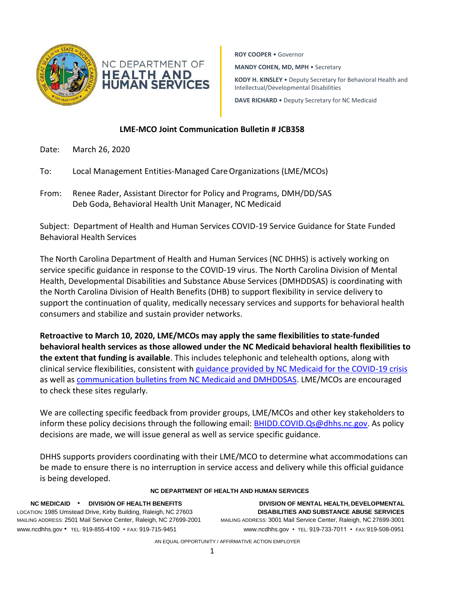

**ROY COOPER** • Governor

**MANDY COHEN, MD, MPH** • Secretary

**KODY H. KINSLEY** • Deputy Secretary for Behavioral Health and Intellectual/Developmental Disabilities

**DAVE RICHARD** • Deputy Secretary for NC Medicaid

## **LME-MCO Joint Communication Bulletin # JCB358**

- Date: March 26, 2020
- To: Local Management Entities-Managed CareOrganizations (LME/MCOs)
- From: Renee Rader, Assistant Director for Policy and Programs, DMH/DD/SAS Deb Goda, Behavioral Health Unit Manager, NC Medicaid

Subject: Department of Health and Human Services COVID-19 Service Guidance for State Funded Behavioral Health Services

The North Carolina Department of Health and Human Services (NC DHHS) is actively working on service specific guidance in response to the COVID-19 virus. The North Carolina Division of Mental Health, Developmental Disabilities and Substance Abuse Services (DMHDDSAS) is coordinating with the North Carolina Division of Health Benefits (DHB) to support flexibility in service delivery to support the continuation of quality, medically necessary services and supports for behavioral health consumers and stabilize and sustain provider networks.

**Retroactive to March 10, 2020, LME/MCOs may apply the same flexibilities to state-funded behavioral health services as those allowed under the NC Medicaid behavioral health flexibilities to the extent that funding is available**. This includes telephonic and telehealth options, along with clinical service flexibilities, consistent with [guidance provided by NC Medicaid for the COVID-19 crisis](https://medicaid.ncdhhs.gov/about-us/coronavirus-disease-2019-covid-19-and-nc-medicaid) as well as [communication bulletins from NC Medicaid and DMHDDSAS.](http://www.ncdhhs.gov/divisions/mhddsas/joint-communication-bulletins) LME/MCOs are encouraged to check these sites regularly.

We are collecting specific feedback from provider groups, LME/MCOs and other key stakeholders to inform these policy decisions through the following email: [BHIDD.COVID.Qs@dhhs.nc.gov.](mailto:BHIDD.COVID.Qs@dhhs.nc.gov) As policy decisions are made, we will issue general as well as service specific guidance.

DHHS supports providers coordinating with their LME/MCO to determine what accommodations can be made to ensure there is no interruption in service access and delivery while this official guidance is being developed.

## **NC DEPARTMENT OF HEALTH AND HUMAN SERVICES**

LOCATION: 1985 Umstead Drive, Kirby Building, Raleigh, NC 27603 **DISABILITIES AND SUBSTANCE ABUSE SERVICES** MAILING ADDRESS: 2501 Mail Service Center, Raleigh, NC 27699-2001 MAILING ADDRESS: 3001 Mail Service Center, Raleigh, NC 27699-3001 [www.ncdhhs.gov](http://www.ncdhhs.gov/) • TEL: 919-855-4100 • FAX: 919-715-9451 [www.ncdhhs.gov](http://www.ncdhhs.gov/) • TEL: 919-733-7011 • FAX:919-508-0951

**NC MEDICAID** • **DIVISION OF HEALTH BENEFITS DIVISION OF MENTAL HEALTH, DEVELOPMENTAL**

AN EQUAL OPPORTUNITY / AFFIRMATIVE ACTION EMPLOYER